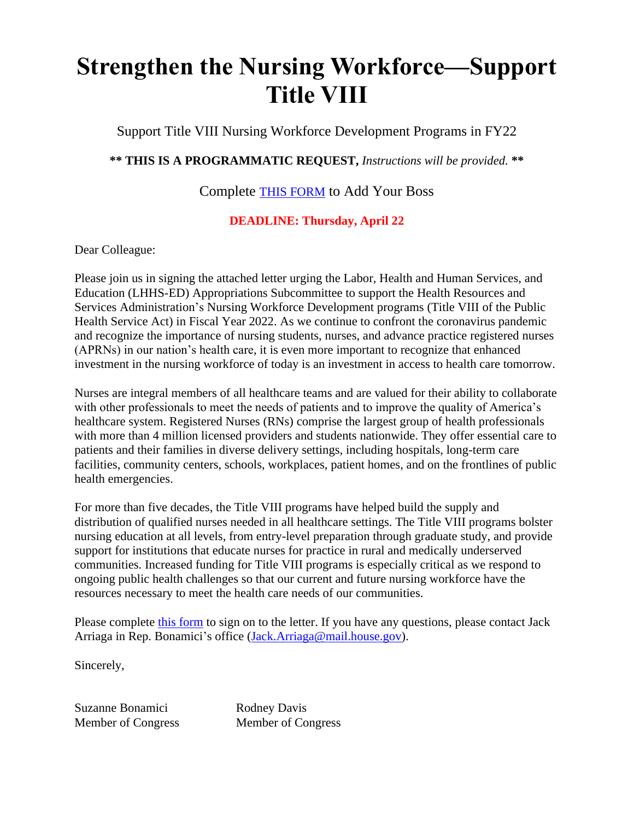## **Strengthen the Nursing Workforce—Support Title VIII**

Support Title VIII Nursing Workforce Development Programs in FY22

**\*\* THIS IS A PROGRAMMATIC REQUEST,** *Instructions will be provided.* **\*\***

Complete [THIS FORM](https://forms.gle/ziZ5GrCBm7qm4KcBA) to Add Your Boss

## **DEADLINE: Thursday, April 22**

Dear Colleague:

Please join us in signing the attached letter urging the Labor, Health and Human Services, and Education (LHHS-ED) Appropriations Subcommittee to support the Health Resources and Services Administration's Nursing Workforce Development programs (Title VIII of the Public Health Service Act) in Fiscal Year 2022. As we continue to confront the coronavirus pandemic and recognize the importance of nursing students, nurses, and advance practice registered nurses (APRNs) in our nation's health care, it is even more important to recognize that enhanced investment in the nursing workforce of today is an investment in access to health care tomorrow.

Nurses are integral members of all healthcare teams and are valued for their ability to collaborate with other professionals to meet the needs of patients and to improve the quality of America's healthcare system. Registered Nurses (RNs) comprise the largest group of health professionals with more than 4 million licensed providers and students nationwide. They offer essential care to patients and their families in diverse delivery settings, including hospitals, long-term care facilities, community centers, schools, workplaces, patient homes, and on the frontlines of public health emergencies.

For more than five decades, the Title VIII programs have helped build the supply and distribution of qualified nurses needed in all healthcare settings. The Title VIII programs bolster nursing education at all levels, from entry-level preparation through graduate study, and provide support for institutions that educate nurses for practice in rural and medically underserved communities. Increased funding for Title VIII programs is especially critical as we respond to ongoing public health challenges so that our current and future nursing workforce have the resources necessary to meet the health care needs of our communities.

Please complete [this form](https://forms.gle/ziZ5GrCBm7qm4KcBA) to sign on to the letter. If you have any questions, please contact Jack Arriaga in Rep. Bonamici's office [\(Jack.Arriaga@mail.house.gov\)](mailto:Jack.Arriaga@mail.house.gov).

Sincerely,

Suzanne Bonamici Member of Congress Rodney Davis Member of Congress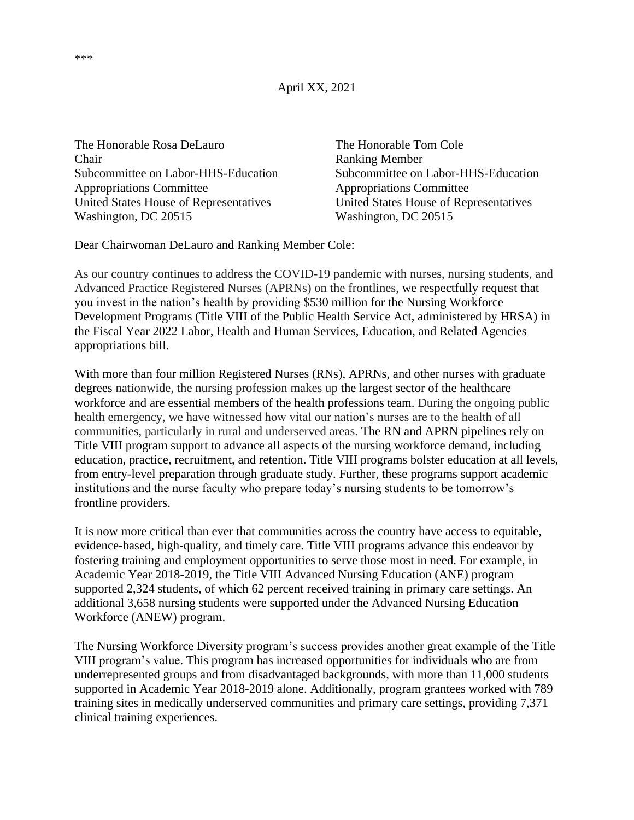April XX, 2021

The Honorable Rosa DeLauro The Honorable Tom Cole Chair Ranking Member Appropriations Committee Appropriations Committee United States House of Representatives United States House of Representatives Washington, DC 20515 Washington, DC 20515

Subcommittee on Labor-HHS-Education Subcommittee on Labor-HHS-Education

Dear Chairwoman DeLauro and Ranking Member Cole:

As our country continues to address the COVID-19 pandemic with nurses, nursing students, and Advanced Practice Registered Nurses (APRNs) on the frontlines, we respectfully request that you invest in the nation's health by providing \$530 million for the Nursing Workforce Development Programs (Title VIII of the Public Health Service Act, administered by HRSA) in the Fiscal Year 2022 Labor, Health and Human Services, Education, and Related Agencies appropriations bill.

With more than four million Registered Nurses (RNs), APRNs, and other nurses with graduate degrees nationwide, the nursing profession makes up the largest sector of the healthcare workforce and are essential members of the health professions team. During the ongoing public health emergency, we have witnessed how vital our nation's nurses are to the health of all communities, particularly in rural and underserved areas. The RN and APRN pipelines rely on Title VIII program support to advance all aspects of the nursing workforce demand, including education, practice, recruitment, and retention. Title VIII programs bolster education at all levels, from entry-level preparation through graduate study. Further, these programs support academic institutions and the nurse faculty who prepare today's nursing students to be tomorrow's frontline providers.

It is now more critical than ever that communities across the country have access to equitable, evidence-based, high-quality, and timely care. Title VIII programs advance this endeavor by fostering training and employment opportunities to serve those most in need. For example, in Academic Year 2018-2019, the Title VIII Advanced Nursing Education (ANE) program supported 2,324 students, of which 62 percent received training in primary care settings. An additional 3,658 nursing students were supported under the Advanced Nursing Education Workforce (ANEW) program.

The Nursing Workforce Diversity program's success provides another great example of the Title VIII program's value. This program has increased opportunities for individuals who are from underrepresented groups and from disadvantaged backgrounds, with more than 11,000 students supported in Academic Year 2018-2019 alone. Additionally, program grantees worked with 789 training sites in medically underserved communities and primary care settings, providing 7,371 clinical training experiences.